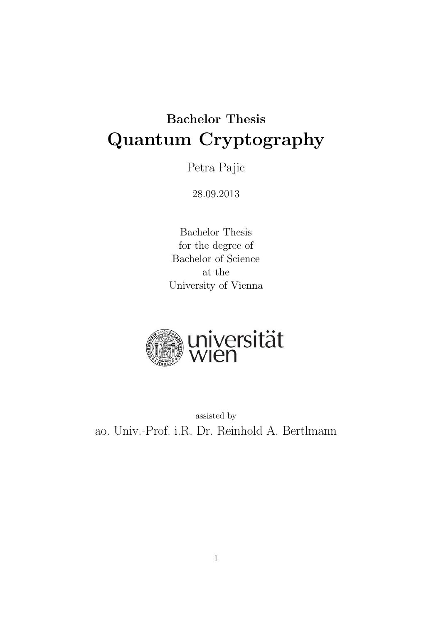# Bachelor Thesis Quantum Cryptography

Petra Pajic

28.09.2013

Bachelor Thesis for the degree of Bachelor of Science at the University of Vienna



assisted by ao. Univ.-Prof. i.R. Dr. Reinhold A. Bertlmann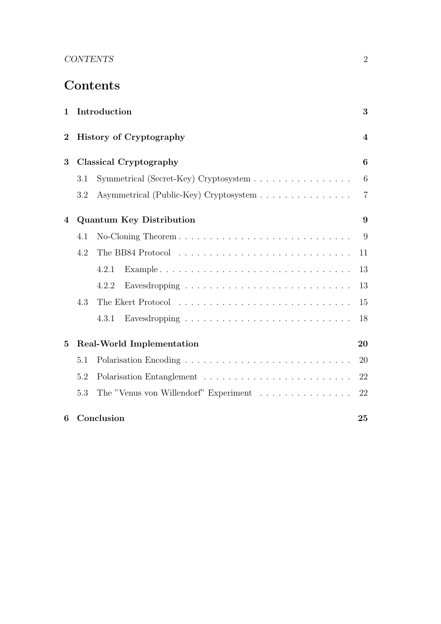# CONTENTS 2

# Contents

| $\mathbf 1$    | Introduction                    |                                        |                  |  |  |  |  |  |  |
|----------------|---------------------------------|----------------------------------------|------------------|--|--|--|--|--|--|
| $\overline{2}$ |                                 | <b>History of Cryptography</b>         | $\boldsymbol{4}$ |  |  |  |  |  |  |
| 3              | Classical Cryptography          |                                        |                  |  |  |  |  |  |  |
|                | 3.1                             | Symmetrical (Secret-Key) Cryptosystem  | 6                |  |  |  |  |  |  |
|                | 3.2                             | Asymmetrical (Public-Key) Cryptosystem | $\overline{7}$   |  |  |  |  |  |  |
| 4              | <b>Quantum Key Distribution</b> |                                        |                  |  |  |  |  |  |  |
|                | 4.1                             | No-Cloning Theorem                     | 9                |  |  |  |  |  |  |
|                | 4.2                             |                                        | 11               |  |  |  |  |  |  |
|                |                                 | 4.2.1                                  | 13               |  |  |  |  |  |  |
|                |                                 | 4.2.2                                  | 13               |  |  |  |  |  |  |
|                | 4.3                             |                                        | 15               |  |  |  |  |  |  |
|                |                                 | 4.3.1                                  | 18               |  |  |  |  |  |  |
| 5              |                                 | Real-World Implementation              | 20               |  |  |  |  |  |  |
|                | 5.1                             |                                        | 20               |  |  |  |  |  |  |
|                | 5.2                             |                                        | 22               |  |  |  |  |  |  |
|                | 5.3                             | The "Venus von Willendorf" Experiment  | 22               |  |  |  |  |  |  |
| 6              |                                 | Conclusion                             | 25               |  |  |  |  |  |  |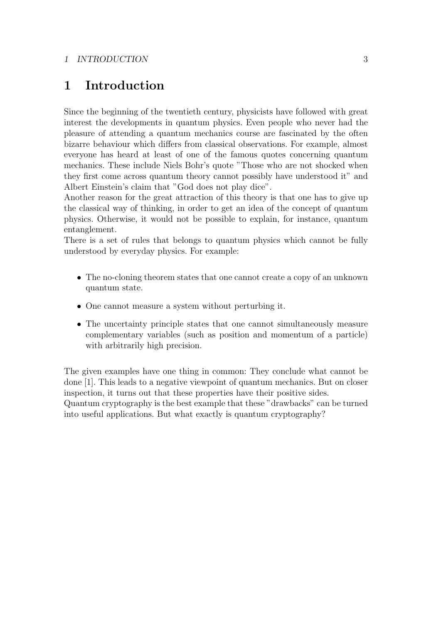#### 1 INTRODUCTION 3

# 1 Introduction

Since the beginning of the twentieth century, physicists have followed with great interest the developments in quantum physics. Even people who never had the pleasure of attending a quantum mechanics course are fascinated by the often bizarre behaviour which differs from classical observations. For example, almost everyone has heard at least of one of the famous quotes concerning quantum mechanics. These include Niels Bohr's quote "Those who are not shocked when they first come across quantum theory cannot possibly have understood it" and Albert Einstein's claim that "God does not play dice".

Another reason for the great attraction of this theory is that one has to give up the classical way of thinking, in order to get an idea of the concept of quantum physics. Otherwise, it would not be possible to explain, for instance, quantum entanglement.

There is a set of rules that belongs to quantum physics which cannot be fully understood by everyday physics. For example:

- The no-cloning theorem states that one cannot create a copy of an unknown quantum state.
- One cannot measure a system without perturbing it.
- The uncertainty principle states that one cannot simultaneously measure complementary variables (such as position and momentum of a particle) with arbitrarily high precision.

The given examples have one thing in common: They conclude what cannot be done [1]. This leads to a negative viewpoint of quantum mechanics. But on closer inspection, it turns out that these properties have their positive sides. Quantum cryptography is the best example that these "drawbacks" can be turned into useful applications. But what exactly is quantum cryptography?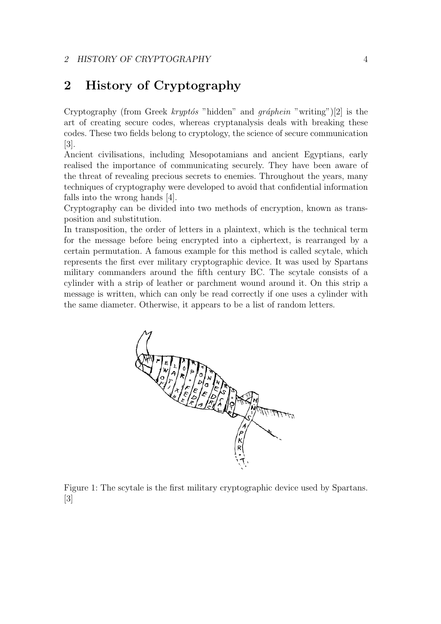#### 2 HISTORY OF CRYPTOGRAPHY 4

# 2 History of Cryptography

Cryptography (from Greek kryptós "hidden" and gráphein "writing")[2] is the art of creating secure codes, whereas cryptanalysis deals with breaking these codes. These two fields belong to cryptology, the science of secure communication [3].

Ancient civilisations, including Mesopotamians and ancient Egyptians, early realised the importance of communicating securely. They have been aware of the threat of revealing precious secrets to enemies. Throughout the years, many techniques of cryptography were developed to avoid that confidential information falls into the wrong hands [4].

Cryptography can be divided into two methods of encryption, known as transposition and substitution.

In transposition, the order of letters in a plaintext, which is the technical term for the message before being encrypted into a ciphertext, is rearranged by a certain permutation. A famous example for this method is called scytale, which represents the first ever military cryptographic device. It was used by Spartans military commanders around the fifth century BC. The scytale consists of a cylinder with a strip of leather or parchment wound around it. On this strip a message is written, which can only be read correctly if one uses a cylinder with the same diameter. Otherwise, it appears to be a list of random letters.



Figure 1: The scytale is the first military cryptographic device used by Spartans. [3]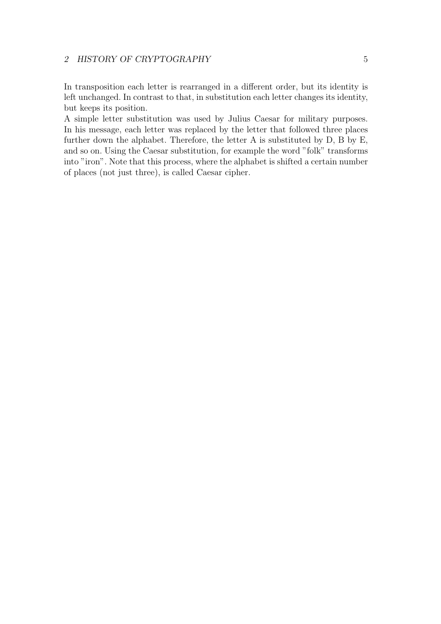### 2 HISTORY OF CRYPTOGRAPHY 5

In transposition each letter is rearranged in a different order, but its identity is left unchanged. In contrast to that, in substitution each letter changes its identity, but keeps its position.

A simple letter substitution was used by Julius Caesar for military purposes. In his message, each letter was replaced by the letter that followed three places further down the alphabet. Therefore, the letter A is substituted by D, B by E, and so on. Using the Caesar substitution, for example the word "folk" transforms into "iron". Note that this process, where the alphabet is shifted a certain number of places (not just three), is called Caesar cipher.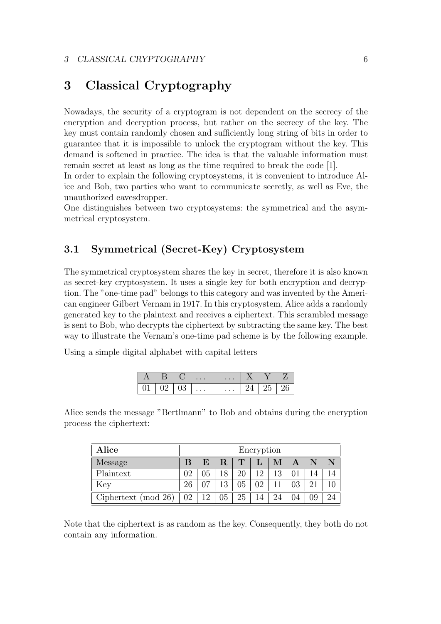# 3 Classical Cryptography

Nowadays, the security of a cryptogram is not dependent on the secrecy of the encryption and decryption process, but rather on the secrecy of the key. The key must contain randomly chosen and sufficiently long string of bits in order to guarantee that it is impossible to unlock the cryptogram without the key. This demand is softened in practice. The idea is that the valuable information must remain secret at least as long as the time required to break the code [1].

In order to explain the following cryptosystems, it is convenient to introduce Alice and Bob, two parties who want to communicate secretly, as well as Eve, the unauthorized eavesdropper.

One distinguishes between two cryptosystems: the symmetrical and the asymmetrical cryptosystem.

### 3.1 Symmetrical (Secret-Key) Cryptosystem

The symmetrical cryptosystem shares the key in secret, therefore it is also known as secret-key cryptosystem. It uses a single key for both encryption and decryption. The "one-time pad" belongs to this category and was invented by the American engineer Gilbert Vernam in 1917. In this cryptosystem, Alice adds a randomly generated key to the plaintext and receives a ciphertext. This scrambled message is sent to Bob, who decrypts the ciphertext by subtracting the same key. The best way to illustrate the Vernam's one-time pad scheme is by the following example.

Using a simple digital alphabet with capital letters

|    |    | $\cdots$ | $\cdots$ |    |  |
|----|----|----------|----------|----|--|
| ◡∸ | ◡◡ | $\cdots$ | $\cdots$ | ∠ບ |  |

Alice sends the message "Bertlmann" to Bob and obtains during the encryption process the ciphertext:

| Alice                  | Encryption |    |    |    |                |    |    |    |    |  |
|------------------------|------------|----|----|----|----------------|----|----|----|----|--|
| <b>Message</b>         |            | E  | R  | T  |                | М  | A  |    |    |  |
| Plaintext              | 02         | 05 | 18 | 20 | 12             | 13 |    |    | 14 |  |
| Key                    | 26         | በ7 | 13 | 05 | 0 <sub>2</sub> |    | 03 | 21 |    |  |
| Ciphertext (mod $26$ ) | 02         | 12 | 05 | 25 | 14             | 24 |    | 09 | 24 |  |

Note that the ciphertext is as random as the key. Consequently, they both do not contain any information.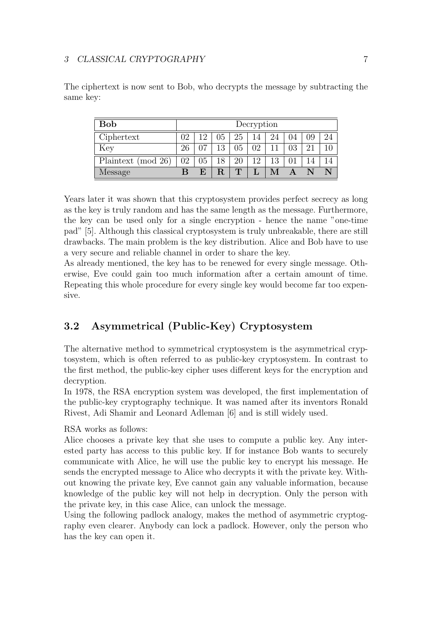| <b>Bob</b>         | Decryption |                 |    |             |    |    |    |    |    |
|--------------------|------------|-----------------|----|-------------|----|----|----|----|----|
| Ciphertext         | 02         | 1 ດ             | 05 | 25          | 14 | 24 | 04 | 09 | 24 |
| Key                | 26         | $\Omega$        | 12 | 05          | 02 |    | 03 | 21 |    |
| Plaintext (mod 26) | 02         | 05 <sub>1</sub> | 18 | 20          | 12 | 13 |    |    |    |
| Message            | В          | F,              | R  | $\mathbf T$ |    |    |    |    |    |

The ciphertext is now sent to Bob, who decrypts the message by subtracting the same key:

Years later it was shown that this cryptosystem provides perfect secrecy as long as the key is truly random and has the same length as the message. Furthermore, the key can be used only for a single encryption - hence the name "one-time pad" [5]. Although this classical cryptosystem is truly unbreakable, there are still drawbacks. The main problem is the key distribution. Alice and Bob have to use a very secure and reliable channel in order to share the key.

As already mentioned, the key has to be renewed for every single message. Otherwise, Eve could gain too much information after a certain amount of time. Repeating this whole procedure for every single key would become far too expensive.

### 3.2 Asymmetrical (Public-Key) Cryptosystem

The alternative method to symmetrical cryptosystem is the asymmetrical cryptosystem, which is often referred to as public-key cryptosystem. In contrast to the first method, the public-key cipher uses different keys for the encryption and decryption.

In 1978, the RSA encryption system was developed, the first implementation of the public-key cryptography technique. It was named after its inventors Ronald Rivest, Adi Shamir and Leonard Adleman [6] and is still widely used.

RSA works as follows:

Alice chooses a private key that she uses to compute a public key. Any interested party has access to this public key. If for instance Bob wants to securely communicate with Alice, he will use the public key to encrypt his message. He sends the encrypted message to Alice who decrypts it with the private key. Without knowing the private key, Eve cannot gain any valuable information, because knowledge of the public key will not help in decryption. Only the person with the private key, in this case Alice, can unlock the message.

Using the following padlock analogy, makes the method of asymmetric cryptography even clearer. Anybody can lock a padlock. However, only the person who has the key can open it.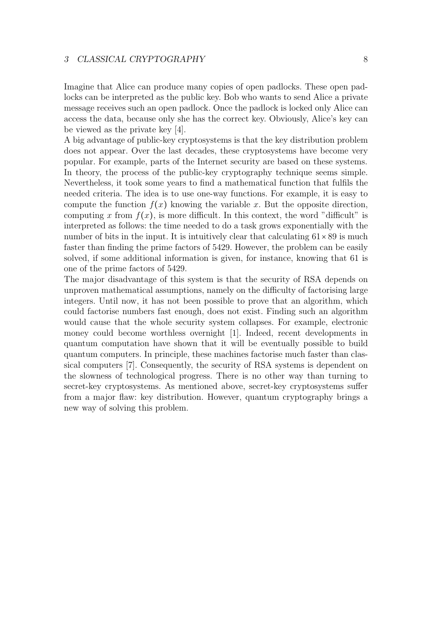#### 3 CLASSICAL CRYPTOGRAPHY 8

Imagine that Alice can produce many copies of open padlocks. These open padlocks can be interpreted as the public key. Bob who wants to send Alice a private message receives such an open padlock. Once the padlock is locked only Alice can access the data, because only she has the correct key. Obviously, Alice's key can be viewed as the private key [4].

A big advantage of public-key cryptosystems is that the key distribution problem does not appear. Over the last decades, these cryptosystems have become very popular. For example, parts of the Internet security are based on these systems. In theory, the process of the public-key cryptography technique seems simple. Nevertheless, it took some years to find a mathematical function that fulfils the needed criteria. The idea is to use one-way functions. For example, it is easy to compute the function  $f(x)$  knowing the variable x. But the opposite direction, computing x from  $f(x)$ , is more difficult. In this context, the word "difficult" is interpreted as follows: the time needed to do a task grows exponentially with the number of bits in the input. It is intuitively clear that calculating  $61 \times 89$  is much faster than finding the prime factors of 5429. However, the problem can be easily solved, if some additional information is given, for instance, knowing that 61 is one of the prime factors of 5429.

The major disadvantage of this system is that the security of RSA depends on unproven mathematical assumptions, namely on the difficulty of factorising large integers. Until now, it has not been possible to prove that an algorithm, which could factorise numbers fast enough, does not exist. Finding such an algorithm would cause that the whole security system collapses. For example, electronic money could become worthless overnight [1]. Indeed, recent developments in quantum computation have shown that it will be eventually possible to build quantum computers. In principle, these machines factorise much faster than classical computers [7]. Consequently, the security of RSA systems is dependent on the slowness of technological progress. There is no other way than turning to secret-key cryptosystems. As mentioned above, secret-key cryptosystems suffer from a major flaw: key distribution. However, quantum cryptography brings a new way of solving this problem.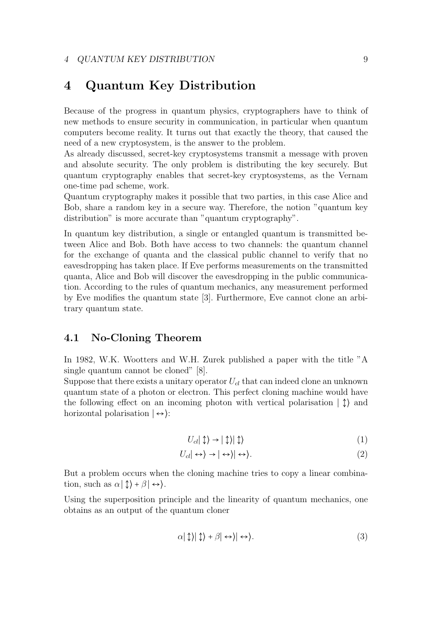# 4 Quantum Key Distribution

Because of the progress in quantum physics, cryptographers have to think of new methods to ensure security in communication, in particular when quantum computers become reality. It turns out that exactly the theory, that caused the need of a new cryptosystem, is the answer to the problem.

As already discussed, secret-key cryptosystems transmit a message with proven and absolute security. The only problem is distributing the key securely. But quantum cryptography enables that secret-key cryptosystems, as the Vernam one-time pad scheme, work.

Quantum cryptography makes it possible that two parties, in this case Alice and Bob, share a random key in a secure way. Therefore, the notion "quantum key distribution" is more accurate than "quantum cryptography".

In quantum key distribution, a single or entangled quantum is transmitted between Alice and Bob. Both have access to two channels: the quantum channel for the exchange of quanta and the classical public channel to verify that no eavesdropping has taken place. If Eve performs measurements on the transmitted quanta, Alice and Bob will discover the eavesdropping in the public communication. According to the rules of quantum mechanics, any measurement performed by Eve modifies the quantum state [3]. Furthermore, Eve cannot clone an arbitrary quantum state.

### 4.1 No-Cloning Theorem

In 1982, W.K. Wootters and W.H. Zurek published a paper with the title "A single quantum cannot be cloned" [8].

Suppose that there exists a unitary operator  $U_{cl}$  that can indeed clone an unknown quantum state of a photon or electron. This perfect cloning machine would have the following effect on an incoming photon with vertical polarisation  $|\uparrow\rangle$  and horizontal polarisation  $|\leftrightarrow\rangle$ :

$$
U_{cl}|\updownarrow\rangle \to |\updownarrow\rangle|\updownarrow\rangle \tag{1}
$$

$$
U_{cl}|\leftrightarrow\rangle \rightarrow |\leftrightarrow\rangle|\leftrightarrow\rangle. \tag{2}
$$

But a problem occurs when the cloning machine tries to copy a linear combination, such as  $\alpha | \updownarrow \rangle + \beta | \leftrightarrow \rangle$ .

Using the superposition principle and the linearity of quantum mechanics, one obtains as an output of the quantum cloner

$$
\alpha|\updownarrow\rangle|\updownarrow\rangle + \beta|\leftrightarrow\rangle. \tag{3}
$$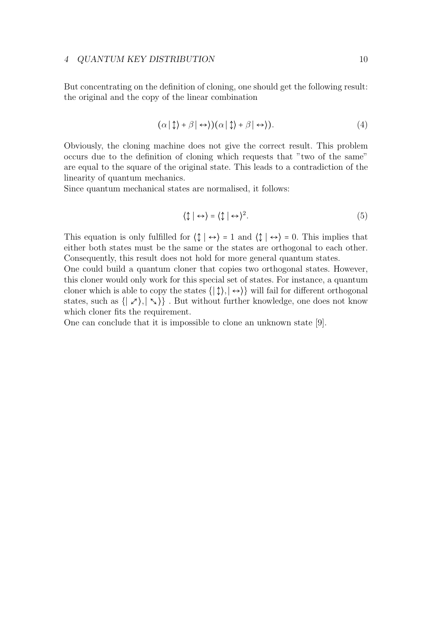But concentrating on the definition of cloning, one should get the following result: the original and the copy of the linear combination

$$
(\alpha \mid \updownarrow \rangle + \beta \mid \leftrightarrow \rangle)(\alpha \mid \updownarrow \rangle + \beta \mid \leftrightarrow \rangle). \tag{4}
$$

Obviously, the cloning machine does not give the correct result. This problem occurs due to the definition of cloning which requests that "two of the same" are equal to the square of the original state. This leads to a contradiction of the linearity of quantum mechanics.

Since quantum mechanical states are normalised, it follows:

$$
\langle \updownarrow | \leftrightarrow \rangle = \langle \updownarrow | \leftrightarrow \rangle^2. \tag{5}
$$

This equation is only fulfilled for  $\langle \updownarrow | \leftrightarrow \rangle = 1$  and  $\langle \updownarrow | \leftrightarrow \rangle = 0$ . This implies that either both states must be the same or the states are orthogonal to each other. Consequently, this result does not hold for more general quantum states.

One could build a quantum cloner that copies two orthogonal states. However, this cloner would only work for this special set of states. For instance, a quantum cloner which is able to copy the states  $\{|\updownarrow\rangle, |\leftrightarrow\rangle\}$  will fail for different orthogonal states, such as  $\{|\chi\rangle, |\zeta\rangle\}$ . But without further knowledge, one does not know which cloner fits the requirement.

One can conclude that it is impossible to clone an unknown state [9].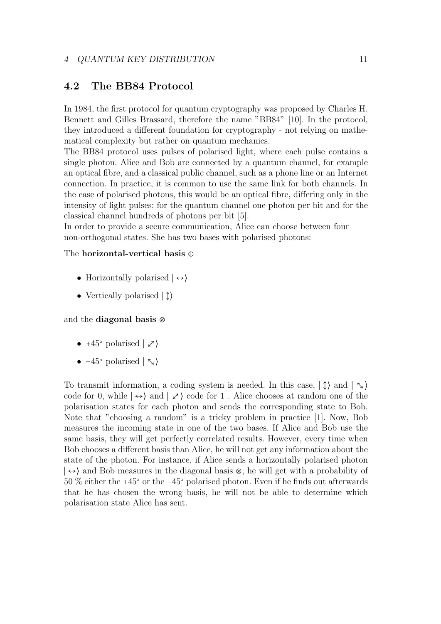### 4.2 The BB84 Protocol

In 1984, the first protocol for quantum cryptography was proposed by Charles H. Bennett and Gilles Brassard, therefore the name "BB84" [10]. In the protocol, they introduced a different foundation for cryptography - not relying on mathematical complexity but rather on quantum mechanics.

The BB84 protocol uses pulses of polarised light, where each pulse contains a single photon. Alice and Bob are connected by a quantum channel, for example an optical fibre, and a classical public channel, such as a phone line or an Internet connection. In practice, it is common to use the same link for both channels. In the case of polarised photons, this would be an optical fibre, differing only in the intensity of light pulses: for the quantum channel one photon per bit and for the classical channel hundreds of photons per bit [5].

In order to provide a secure communication, Alice can choose between four non-orthogonal states. She has two bases with polarised photons:

#### The horizontal-vertical basis ⊕

- Horizontally polarised ∣ ↔⟩
- Vertically polarised ∣ ↕⟩

#### and the diagonal basis ⊗

- $+45^{\circ}$  polarised  $\vert \nearrow$
- $-45^{\circ}$  polarised  $|\zeta\rangle$

To transmit information, a coding system is needed. In this case,  $|\uparrow\rangle$  and  $|\searrow\rangle$ code for 0, while  $|\leftrightarrow\rangle$  and  $|\not\supset\rangle$  code for 1. Alice chooses at random one of the polarisation states for each photon and sends the corresponding state to Bob. Note that "choosing a random" is a tricky problem in practice [1]. Now, Bob measures the incoming state in one of the two bases. If Alice and Bob use the same basis, they will get perfectly correlated results. However, every time when Bob chooses a different basis than Alice, he will not get any information about the state of the photon. For instance, if Alice sends a horizontally polarised photon ∣ ↔⟩ and Bob measures in the diagonal basis ⊗, he will get with a probability of 50 % either the +45○ or the −45○ polarised photon. Even if he finds out afterwards that he has chosen the wrong basis, he will not be able to determine which polarisation state Alice has sent.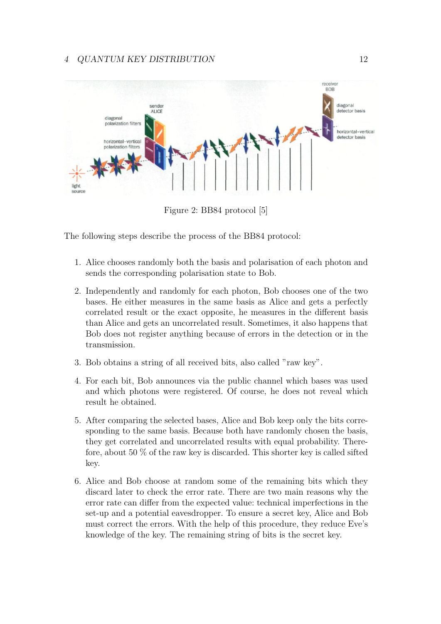

Figure 2: BB84 protocol [5]

The following steps describe the process of the BB84 protocol:

- 1. Alice chooses randomly both the basis and polarisation of each photon and sends the corresponding polarisation state to Bob.
- 2. Independently and randomly for each photon, Bob chooses one of the two bases. He either measures in the same basis as Alice and gets a perfectly correlated result or the exact opposite, he measures in the different basis than Alice and gets an uncorrelated result. Sometimes, it also happens that Bob does not register anything because of errors in the detection or in the transmission.
- 3. Bob obtains a string of all received bits, also called "raw key".
- 4. For each bit, Bob announces via the public channel which bases was used and which photons were registered. Of course, he does not reveal which result he obtained.
- 5. After comparing the selected bases, Alice and Bob keep only the bits corresponding to the same basis. Because both have randomly chosen the basis, they get correlated and uncorrelated results with equal probability. Therefore, about 50  $\%$  of the raw key is discarded. This shorter key is called sifted key.
- 6. Alice and Bob choose at random some of the remaining bits which they discard later to check the error rate. There are two main reasons why the error rate can differ from the expected value: technical imperfections in the set-up and a potential eavesdropper. To ensure a secret key, Alice and Bob must correct the errors. With the help of this procedure, they reduce Eve's knowledge of the key. The remaining string of bits is the secret key.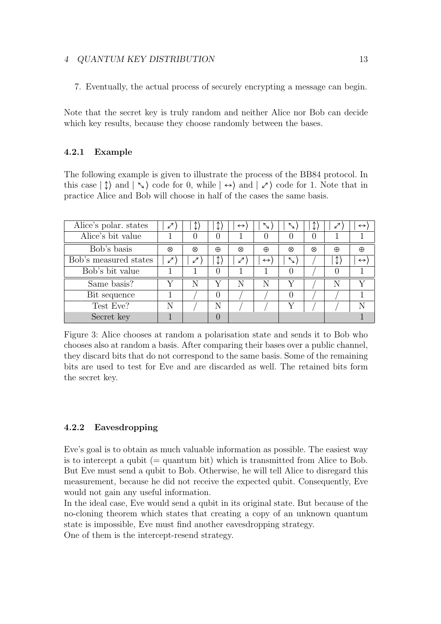#### 4 QUANTUM KEY DISTRIBUTION 13

7. Eventually, the actual process of securely encrypting a message can begin.

Note that the secret key is truly random and neither Alice nor Bob can decide which key results, because they choose randomly between the bases.

#### 4.2.1 Example

The following example is given to illustrate the process of the BB84 protocol. In this case  $|\uparrow\rangle$  and  $|\nwarrow\rangle$  code for 0, while  $|\nleftrightarrow\rangle$  and  $|\nearrow\rangle$  code for 1. Note that in practice Alice and Bob will choose in half of the cases the same basis.

| Alice's polar. states | ↙                          |   |                  | $\leftrightarrow$ | $\tilde{\phantom{a}}$ | $\mathcal{L}_{\mathcal{A}}$ , |   | $\boldsymbol{\mathcal{L}}$ | $\leftrightarrow$ |
|-----------------------|----------------------------|---|------------------|-------------------|-----------------------|-------------------------------|---|----------------------------|-------------------|
| Alice's bit value     |                            |   | 0                |                   |                       |                               |   |                            |                   |
| Bob's basis           | ⊗                          | ⊗ | $\oplus$         | ⊗                 | $\oplus$              | ⊗                             | ⊗ | $\oplus$                   | $\oplus$          |
| Bob's measured states | $\boldsymbol{\mathcal{L}}$ | ↙ |                  | ↙                 | $\leftrightarrow$     | $\boldsymbol{\mathcal{L}}$    |   | $\downarrow$               | $\leftrightarrow$ |
| Bob's bit value       |                            |   | $\left( \right)$ |                   |                       |                               |   |                            |                   |
| Same basis?           |                            | N | V                | N                 | N                     |                               |   | N                          |                   |
| Bit sequence          |                            |   |                  |                   |                       |                               |   |                            |                   |
| Test Eve?             | N                          |   | Ν                |                   |                       |                               |   |                            |                   |
| Secret key            |                            |   |                  |                   |                       |                               |   |                            |                   |

Figure 3: Alice chooses at random a polarisation state and sends it to Bob who chooses also at random a basis. After comparing their bases over a public channel, they discard bits that do not correspond to the same basis. Some of the remaining bits are used to test for Eve and are discarded as well. The retained bits form the secret key.

#### 4.2.2 Eavesdropping

Eve's goal is to obtain as much valuable information as possible. The easiest way is to intercept a qubit  $(=$  quantum bit) which is transmitted from Alice to Bob. But Eve must send a qubit to Bob. Otherwise, he will tell Alice to disregard this measurement, because he did not receive the expected qubit. Consequently, Eve would not gain any useful information.

In the ideal case, Eve would send a qubit in its original state. But because of the no-cloning theorem which states that creating a copy of an unknown quantum state is impossible, Eve must find another eavesdropping strategy.

One of them is the intercept-resend strategy.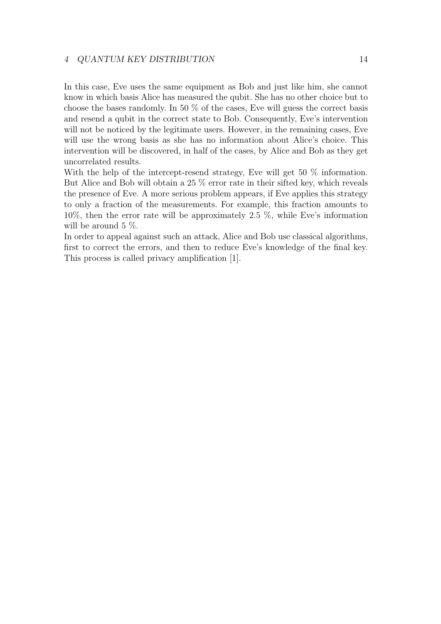#### 4 QUANTUM KEY DISTRIBUTION 14

In this case, Eve uses the same equipment as Bob and just like him, she cannot know in which basis Alice has measured the qubit. She has no other choice but to choose the bases randomly. In 50 % of the cases, Eve will guess the correct basis and resend a qubit in the correct state to Bob. Consequently, Eve's intervention will not be noticed by the legitimate users. However, in the remaining cases, Eve will use the wrong basis as she has no information about Alice's choice. This intervention will be discovered, in half of the cases, by Alice and Bob as they get uncorrelated results.

With the help of the intercept-resend strategy, Eve will get 50 % information. But Alice and Bob will obtain a 25 % error rate in their sifted key, which reveals the presence of Eve. A more serious problem appears, if Eve applies this strategy to only a fraction of the measurements. For example, this fraction amounts to 10%, then the error rate will be approximately 2.5 %, while Eve's information will be around 5 \%.

In order to appeal against such an attack, Alice and Bob use classical algorithms, first to correct the errors, and then to reduce Eve's knowledge of the final key. This process is called privacy amplification [1].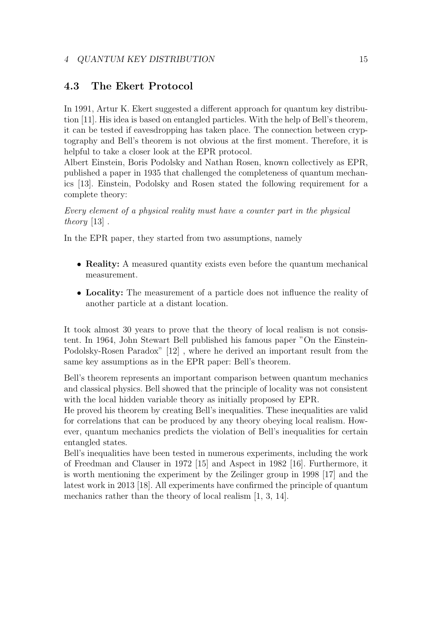### 4.3 The Ekert Protocol

In 1991, Artur K. Ekert suggested a different approach for quantum key distribution [11]. His idea is based on entangled particles. With the help of Bell's theorem, it can be tested if eavesdropping has taken place. The connection between cryptography and Bell's theorem is not obvious at the first moment. Therefore, it is helpful to take a closer look at the EPR protocol.

Albert Einstein, Boris Podolsky and Nathan Rosen, known collectively as EPR, published a paper in 1935 that challenged the completeness of quantum mechanics [13]. Einstein, Podolsky and Rosen stated the following requirement for a complete theory:

Every element of a physical reality must have a counter part in the physical theory  $[13]$ .

In the EPR paper, they started from two assumptions, namely

- **Reality:** A measured quantity exists even before the quantum mechanical measurement.
- Locality: The measurement of a particle does not influence the reality of another particle at a distant location.

It took almost 30 years to prove that the theory of local realism is not consistent. In 1964, John Stewart Bell published his famous paper "On the Einstein-Podolsky-Rosen Paradox" [12] , where he derived an important result from the same key assumptions as in the EPR paper: Bell's theorem.

Bell's theorem represents an important comparison between quantum mechanics and classical physics. Bell showed that the principle of locality was not consistent with the local hidden variable theory as initially proposed by EPR.

He proved his theorem by creating Bell's inequalities. These inequalities are valid for correlations that can be produced by any theory obeying local realism. However, quantum mechanics predicts the violation of Bell's inequalities for certain entangled states.

Bell's inequalities have been tested in numerous experiments, including the work of Freedman and Clauser in 1972 [15] and Aspect in 1982 [16]. Furthermore, it is worth mentioning the experiment by the Zeilinger group in 1998 [17] and the latest work in 2013 [18]. All experiments have confirmed the principle of quantum mechanics rather than the theory of local realism [1, 3, 14].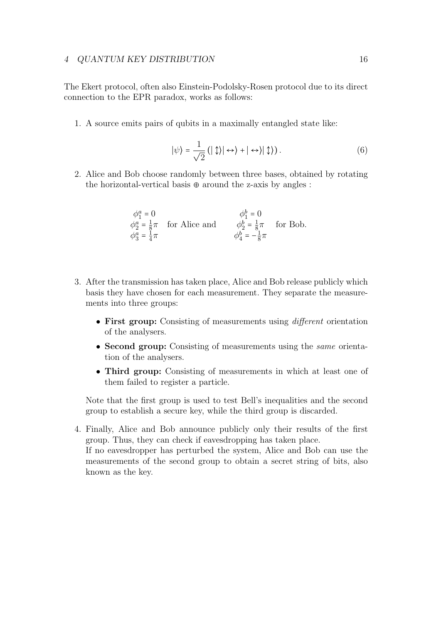#### 4 QUANTUM KEY DISTRIBUTION 16

The Ekert protocol, often also Einstein-Podolsky-Rosen protocol due to its direct connection to the EPR paradox, works as follows:

1. A source emits pairs of qubits in a maximally entangled state like:

$$
|\psi\rangle = \frac{1}{\sqrt{2}} (|\updownarrow\rangle| \leftrightarrow\rangle + |\leftrightarrow\rangle|\updownarrow\rangle).
$$
 (6)

2. Alice and Bob choose randomly between three bases, obtained by rotating the horizontal-vertical basis  $\oplus$  around the z-axis by angles :

$$
\begin{array}{ll}\n\phi_1^a = 0 & \phi_1^b = 0 \\
\phi_2^a = \frac{1}{8}\pi & \text{for Alice and} \\
\phi_3^a = \frac{1}{4}\pi & \phi_4^b = -\frac{1}{8}\pi & \text{for Bob.} \n\end{array}
$$

- 3. After the transmission has taken place, Alice and Bob release publicly which basis they have chosen for each measurement. They separate the measurements into three groups:
	- First group: Consisting of measurements using *different* orientation of the analysers.
	- Second group: Consisting of measurements using the *same* orientation of the analysers.
	- Third group: Consisting of measurements in which at least one of them failed to register a particle.

Note that the first group is used to test Bell's inequalities and the second group to establish a secure key, while the third group is discarded.

4. Finally, Alice and Bob announce publicly only their results of the first group. Thus, they can check if eavesdropping has taken place. If no eavesdropper has perturbed the system, Alice and Bob can use the measurements of the second group to obtain a secret string of bits, also known as the key.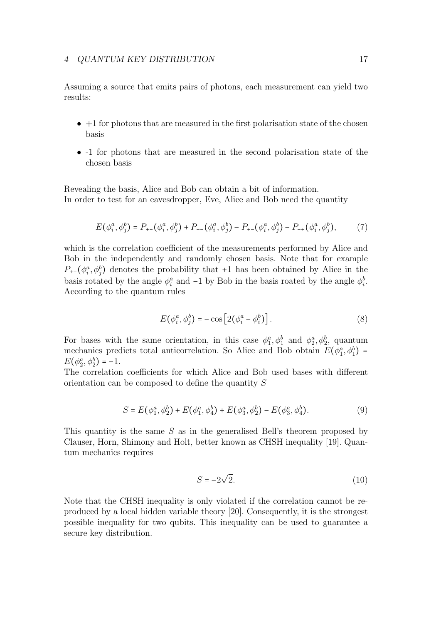Assuming a source that emits pairs of photons, each measurement can yield two results:

- $\bullet$  +1 for photons that are measured in the first polarisation state of the chosen basis
- -1 for photons that are measured in the second polarisation state of the chosen basis

Revealing the basis, Alice and Bob can obtain a bit of information. In order to test for an eavesdropper, Eve, Alice and Bob need the quantity

$$
E(\phi_i^a, \phi_j^b) = P_{++}(\phi_i^a, \phi_j^b) + P_{--}(\phi_i^a, \phi_j^b) - P_{+-}(\phi_i^a, \phi_j^b) - P_{-+}(\phi_i^a, \phi_j^b), \tag{7}
$$

which is the correlation coefficient of the measurements performed by Alice and Bob in the independently and randomly chosen basis. Note that for example  $P_{+-}(\phi_i^a, \phi_j^b)$  denotes the probability that +1 has been obtained by Alice in the basis rotated by the angle  $\phi_i^a$  and -1 by Bob in the basis roated by the angle  $\phi_i^b$ . According to the quantum rules

$$
E(\phi_i^a, \phi_j^b) = -\cos\left[2(\phi_i^a - \phi_i^b)\right].\tag{8}
$$

For bases with the same orientation, in this case  $\phi_1^a, \phi_1^b$  and  $\phi_2^a, \phi_2^b$ , quantum mechanics predicts total anticorrelation. So Alice and Bob obtain  $E(\phi_1^a, \phi_1^b)$  $E(\phi_2^a, \phi_2^b) = -1.$ 

The correlation coefficients for which Alice and Bob used bases with different orientation can be composed to define the quantity S

$$
S = E(\phi_1^a, \phi_2^b) + E(\phi_1^a, \phi_4^b) + E(\phi_3^a, \phi_2^b) - E(\phi_3^a, \phi_4^b).
$$
 (9)

This quantity is the same  $S$  as in the generalised Bell's theorem proposed by Clauser, Horn, Shimony and Holt, better known as CHSH inequality [19]. Quantum mechanics requires

$$
S = -2\sqrt{2}.\tag{10}
$$

Note that the CHSH inequality is only violated if the correlation cannot be reproduced by a local hidden variable theory [20]. Consequently, it is the strongest possible inequality for two qubits. This inequality can be used to guarantee a secure key distribution.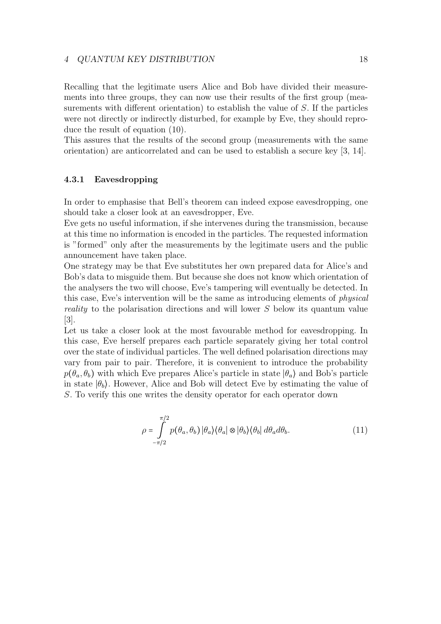#### 4 QUANTUM KEY DISTRIBUTION 18

Recalling that the legitimate users Alice and Bob have divided their measurements into three groups, they can now use their results of the first group (measurements with different orientation) to establish the value of S. If the particles were not directly or indirectly disturbed, for example by Eve, they should reproduce the result of equation (10).

This assures that the results of the second group (measurements with the same orientation) are anticorrelated and can be used to establish a secure key [3, 14].

#### 4.3.1 Eavesdropping

In order to emphasise that Bell's theorem can indeed expose eavesdropping, one should take a closer look at an eavesdropper, Eve.

Eve gets no useful information, if she intervenes during the transmission, because at this time no information is encoded in the particles. The requested information is "formed" only after the measurements by the legitimate users and the public announcement have taken place.

One strategy may be that Eve substitutes her own prepared data for Alice's and Bob's data to misguide them. But because she does not know which orientation of the analysers the two will choose, Eve's tampering will eventually be detected. In this case, Eve's intervention will be the same as introducing elements of physical reality to the polarisation directions and will lower S below its quantum value [3].

Let us take a closer look at the most favourable method for eavesdropping. In this case, Eve herself prepares each particle separately giving her total control over the state of individual particles. The well defined polarisation directions may vary from pair to pair. Therefore, it is convenient to introduce the probability  $p(\theta_a, \theta_b)$  with which Eve prepares Alice's particle in state  $|\theta_a\rangle$  and Bob's particle in state  $|\theta_b\rangle$ . However, Alice and Bob will detect Eve by estimating the value of S. To verify this one writes the density operator for each operator down

$$
\rho = \int_{-\pi/2}^{\pi/2} p(\theta_a, \theta_b) |\theta_a\rangle \langle \theta_a| \otimes |\theta_b\rangle \langle \theta_b| d\theta_a d\theta_b.
$$
 (11)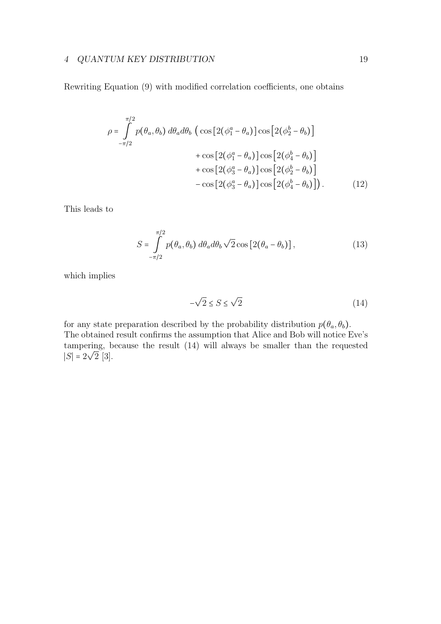#### 4 QUANTUM KEY DISTRIBUTION 19

Rewriting Equation (9) with modified correlation coefficients, one obtains

$$
\rho = \int_{-\pi/2}^{\pi/2} p(\theta_a, \theta_b) d\theta_a d\theta_b \left( \cos \left[ 2(\phi_1^a - \theta_a) \right] \cos \left[ 2(\phi_2^b - \theta_b) \right] + \cos \left[ 2(\phi_1^a - \theta_a) \right] \cos \left[ 2(\phi_4^b - \theta_b) \right] + \cos \left[ 2(\phi_3^a - \theta_a) \right] \cos \left[ 2(\phi_2^b - \theta_b) \right] - \cos \left[ 2(\phi_3^a - \theta_a) \right] \cos \left[ 2(\phi_4^b - \theta_b) \right]. \tag{12}
$$

This leads to

$$
S = \int_{-\pi/2}^{\pi/2} p(\theta_a, \theta_b) d\theta_a d\theta_b \sqrt{2} \cos [2(\theta_a - \theta_b)], \qquad (13)
$$

which implies

$$
-\sqrt{2} \le S \le \sqrt{2} \tag{14}
$$

for any state preparation described by the probability distribution  $p(\theta_a, \theta_b)$ . The obtained result confirms the assumption that Alice and Bob will notice Eve's tampering, because the result (14) will always be smaller than the requested  $|S|=2$ √ 2 [3].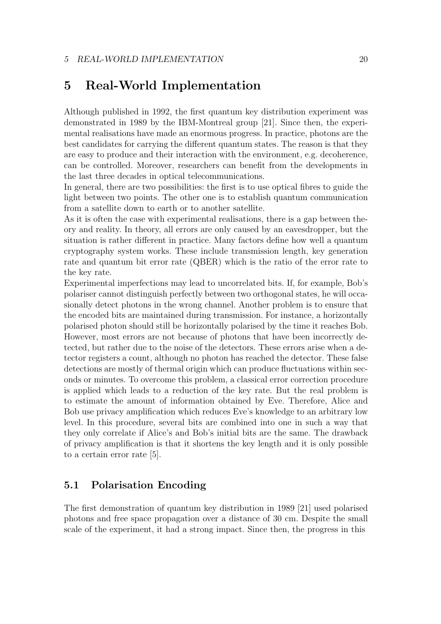# 5 Real-World Implementation

Although published in 1992, the first quantum key distribution experiment was demonstrated in 1989 by the IBM-Montreal group [21]. Since then, the experimental realisations have made an enormous progress. In practice, photons are the best candidates for carrying the different quantum states. The reason is that they are easy to produce and their interaction with the environment, e.g. decoherence, can be controlled. Moreover, researchers can benefit from the developments in the last three decades in optical telecommunications.

In general, there are two possibilities: the first is to use optical fibres to guide the light between two points. The other one is to establish quantum communication from a satellite down to earth or to another satellite.

As it is often the case with experimental realisations, there is a gap between theory and reality. In theory, all errors are only caused by an eavesdropper, but the situation is rather different in practice. Many factors define how well a quantum cryptography system works. These include transmission length, key generation rate and quantum bit error rate (QBER) which is the ratio of the error rate to the key rate.

Experimental imperfections may lead to uncorrelated bits. If, for example, Bob's polariser cannot distinguish perfectly between two orthogonal states, he will occasionally detect photons in the wrong channel. Another problem is to ensure that the encoded bits are maintained during transmission. For instance, a horizontally polarised photon should still be horizontally polarised by the time it reaches Bob. However, most errors are not because of photons that have been incorrectly detected, but rather due to the noise of the detectors. These errors arise when a detector registers a count, although no photon has reached the detector. These false detections are mostly of thermal origin which can produce fluctuations within seconds or minutes. To overcome this problem, a classical error correction procedure is applied which leads to a reduction of the key rate. But the real problem is to estimate the amount of information obtained by Eve. Therefore, Alice and Bob use privacy amplification which reduces Eve's knowledge to an arbitrary low level. In this procedure, several bits are combined into one in such a way that they only correlate if Alice's and Bob's initial bits are the same. The drawback of privacy amplification is that it shortens the key length and it is only possible to a certain error rate [5].

### 5.1 Polarisation Encoding

The first demonstration of quantum key distribution in 1989 [21] used polarised photons and free space propagation over a distance of 30 cm. Despite the small scale of the experiment, it had a strong impact. Since then, the progress in this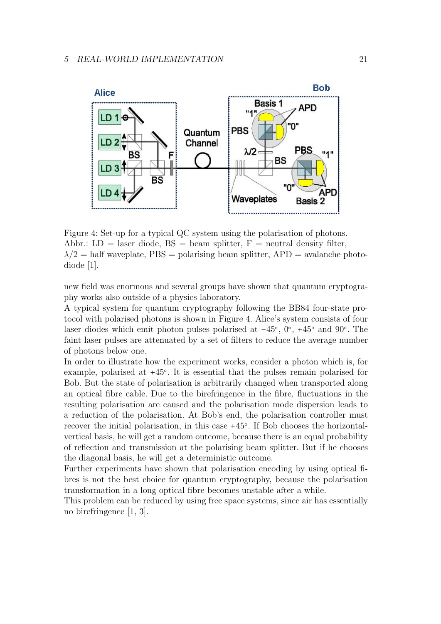

Figure 4: Set-up for a typical QC system using the polarisation of photons. Abbr.:  $LD =$  laser diode,  $BS =$  beam splitter,  $F =$  neutral density filter,  $\lambda/2$  = half waveplate, PBS = polarising beam splitter, APD = avalanche photodiode [1].

new field was enormous and several groups have shown that quantum cryptography works also outside of a physics laboratory.

A typical system for quantum cryptography following the BB84 four-state protocol with polarised photons is shown in Figure 4. Alice's system consists of four laser diodes which emit photon pulses polarised at  $-45^{\circ}$ , 0°, +45° and 90°. The faint laser pulses are attenuated by a set of filters to reduce the average number of photons below one.

In order to illustrate how the experiment works, consider a photon which is, for example, polarised at +45○ . It is essential that the pulses remain polarised for Bob. But the state of polarisation is arbitrarily changed when transported along an optical fibre cable. Due to the birefringence in the fibre, fluctuations in the resulting polarisation are caused and the polarisation mode dispersion leads to a reduction of the polarisation. At Bob's end, the polarisation controller must recover the initial polarisation, in this case +45○ . If Bob chooses the horizontalvertical basis, he will get a random outcome, because there is an equal probability of reflection and transmission at the polarising beam splitter. But if he chooses the diagonal basis, he will get a deterministic outcome.

Further experiments have shown that polarisation encoding by using optical fibres is not the best choice for quantum cryptography, because the polarisation transformation in a long optical fibre becomes unstable after a while.

This problem can be reduced by using free space systems, since air has essentially no birefringence [1, 3].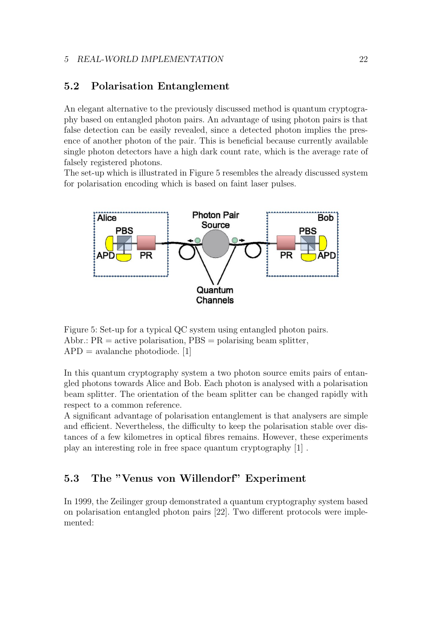#### 5 REAL-WORLD IMPLEMENTATION 22

### 5.2 Polarisation Entanglement

An elegant alternative to the previously discussed method is quantum cryptography based on entangled photon pairs. An advantage of using photon pairs is that false detection can be easily revealed, since a detected photon implies the presence of another photon of the pair. This is beneficial because currently available single photon detectors have a high dark count rate, which is the average rate of falsely registered photons.

The set-up which is illustrated in Figure 5 resembles the already discussed system for polarisation encoding which is based on faint laser pulses.



Figure 5: Set-up for a typical QC system using entangled photon pairs. Abbr.:  $PR =$  active polarisation,  $PBS =$  polarising beam splitter,  $APD = \text{avalanche photodiode}.$  [1]

In this quantum cryptography system a two photon source emits pairs of entangled photons towards Alice and Bob. Each photon is analysed with a polarisation beam splitter. The orientation of the beam splitter can be changed rapidly with respect to a common reference.

A significant advantage of polarisation entanglement is that analysers are simple and efficient. Nevertheless, the difficulty to keep the polarisation stable over distances of a few kilometres in optical fibres remains. However, these experiments play an interesting role in free space quantum cryptography [1] .

# 5.3 The "Venus von Willendorf" Experiment

In 1999, the Zeilinger group demonstrated a quantum cryptography system based on polarisation entangled photon pairs [22]. Two different protocols were implemented: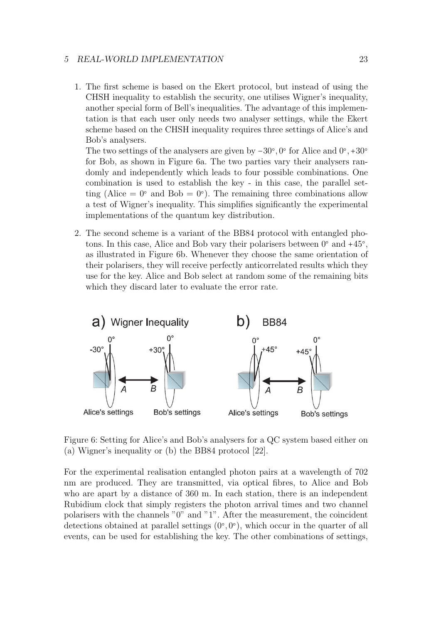#### 5 REAL-WORLD IMPLEMENTATION 23

1. The first scheme is based on the Ekert protocol, but instead of using the CHSH inequality to establish the security, one utilises Wigner's inequality, another special form of Bell's inequalities. The advantage of this implementation is that each user only needs two analyser settings, while the Ekert scheme based on the CHSH inequality requires three settings of Alice's and Bob's analysers.

The two settings of the analysers are given by  $-30^{\circ}$ ,  $0^{\circ}$  for Alice and  $0^{\circ}$ ,  $+30^{\circ}$ for Bob, as shown in Figure 6a. The two parties vary their analysers randomly and independently which leads to four possible combinations. One combination is used to establish the key - in this case, the parallel setting (Alice  $= 0^{\circ}$  and Bob  $= 0^{\circ}$ ). The remaining three combinations allow a test of Wigner's inequality. This simplifies significantly the experimental implementations of the quantum key distribution.

2. The second scheme is a variant of the BB84 protocol with entangled photons. In this case, Alice and Bob vary their polarisers between  $0^{\circ}$  and  $+45^{\circ}$ , as illustrated in Figure 6b. Whenever they choose the same orientation of their polarisers, they will receive perfectly anticorrelated results which they use for the key. Alice and Bob select at random some of the remaining bits which they discard later to evaluate the error rate.



Figure 6: Setting for Alice's and Bob's analysers for a QC system based either on (a) Wigner's inequality or (b) the BB84 protocol [22].

For the experimental realisation entangled photon pairs at a wavelength of 702 nm are produced. They are transmitted, via optical fibres, to Alice and Bob who are apart by a distance of 360 m. In each station, there is an independent Rubidium clock that simply registers the photon arrival times and two channel polarisers with the channels "0" and "1". After the measurement, the coincident detections obtained at parallel settings  $(0, 0, 0)$ , which occur in the quarter of all events, can be used for establishing the key. The other combinations of settings,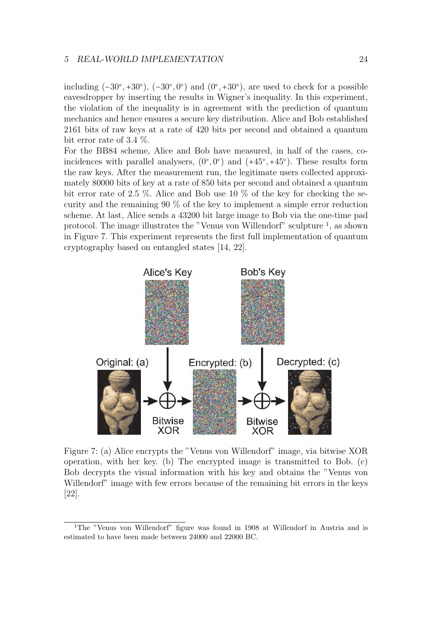#### 5 REAL-WORLD IMPLEMENTATION 24

including  $(-30^{\circ}, +30^{\circ})$ ,  $(-30^{\circ}, 0^{\circ})$  and  $(0^{\circ}, +30^{\circ})$ , are used to check for a possible eavesdropper by inserting the results in Wigner's inequality. In this experiment, the violation of the inequality is in agreement with the prediction of quantum mechanics and hence ensures a secure key distribution. Alice and Bob established 2161 bits of raw keys at a rate of 420 bits per second and obtained a quantum bit error rate of 3.4 %.

For the BB84 scheme, Alice and Bob have measured, in half of the cases, coincidences with parallel analysers,  $(0, 0)$  and  $(+45, 45)$ . These results form the raw keys. After the measurement run, the legitimate users collected approximately 80000 bits of key at a rate of 850 bits per second and obtained a quantum bit error rate of 2.5 %. Alice and Bob use 10 % of the key for checking the security and the remaining 90 % of the key to implement a simple error reduction scheme. At last, Alice sends a 43200 bit large image to Bob via the one-time pad protocol. The image illustrates the "Venus von Willendorf" sculpture <sup>1</sup> , as shown in Figure 7. This experiment represents the first full implementation of quantum cryptography based on entangled states [14, 22].



Figure 7: (a) Alice encrypts the "Venus von Willendorf" image, via bitwise XOR operation, with her key. (b) The encrypted image is transmitted to Bob. (c) Bob decrypts the visual information with his key and obtains the "Venus von Willendorf" image with few errors because of the remaining bit errors in the keys [22].

<sup>1</sup>The "Venus von Willendorf" figure was found in 1908 at Willendorf in Austria and is estimated to have been made between 24000 and 22000 BC.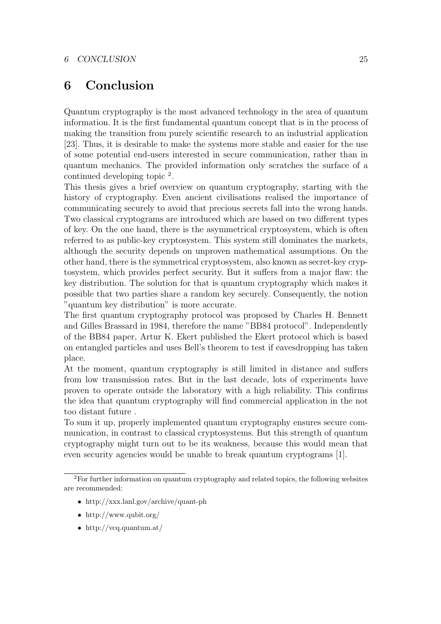# 6 Conclusion

Quantum cryptography is the most advanced technology in the area of quantum information. It is the first fundamental quantum concept that is in the process of making the transition from purely scientific research to an industrial application [23]. Thus, it is desirable to make the systems more stable and easier for the use of some potential end-users interested in secure communication, rather than in quantum mechanics. The provided information only scratches the surface of a continued developing topic <sup>2</sup> .

This thesis gives a brief overview on quantum cryptography, starting with the history of cryptography. Even ancient civilisations realised the importance of communicating securely to avoid that precious secrets fall into the wrong hands. Two classical cryptograms are introduced which are based on two different types of key. On the one hand, there is the asymmetrical cryptosystem, which is often referred to as public-key cryptosystem. This system still dominates the markets, although the security depends on unproven mathematical assumptions. On the other hand, there is the symmetrical cryptosystem, also known as secret-key cryptosystem, which provides perfect security. But it suffers from a major flaw: the key distribution. The solution for that is quantum cryptography which makes it possible that two parties share a random key securely. Consequently, the notion "quantum key distribution" is more accurate.

The first quantum cryptography protocol was proposed by Charles H. Bennett and Gilles Brassard in 1984, therefore the name "BB84 protocol". Independently of the BB84 paper, Artur K. Ekert published the Ekert protocol which is based on entangled particles and uses Bell's theorem to test if eavesdropping has taken place.

At the moment, quantum cryptography is still limited in distance and suffers from low transmission rates. But in the last decade, lots of experiments have proven to operate outside the laboratory with a high reliability. This confirms the idea that quantum cryptography will find commercial application in the not too distant future .

To sum it up, properly implemented quantum cryptography ensures secure communication, in contrast to classical cryptosystems. But this strength of quantum cryptography might turn out to be its weakness, because this would mean that even security agencies would be unable to break quantum cryptograms [1].

- http://xxx.lanl.gov/archive/quant-ph
- http://www.qubit.org/
- http://vcq.quantum.at/

<sup>2</sup>For further information on quantum cryptography and related topics, the following websites are recommended: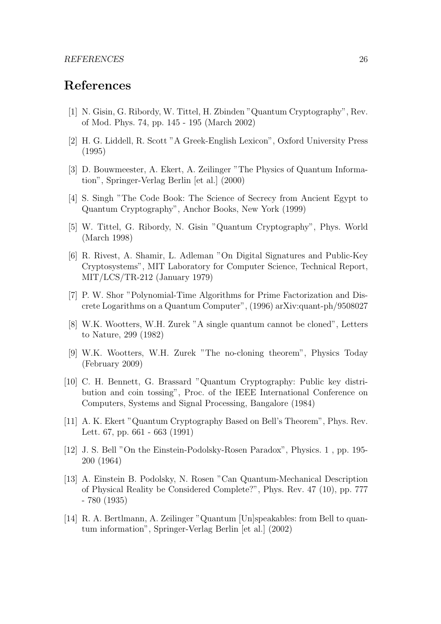# References

- [1] N. Gisin, G. Ribordy, W. Tittel, H. Zbinden "Quantum Cryptography", Rev. of Mod. Phys. 74, pp. 145 - 195 (March 2002)
- [2] H. G. Liddell, R. Scott "A Greek-English Lexicon", Oxford University Press (1995)
- [3] D. Bouwmeester, A. Ekert, A. Zeilinger "The Physics of Quantum Information", Springer-Verlag Berlin [et al.] (2000)
- [4] S. Singh "The Code Book: The Science of Secrecy from Ancient Egypt to Quantum Cryptography", Anchor Books, New York (1999)
- [5] W. Tittel, G. Ribordy, N. Gisin "Quantum Cryptography", Phys. World (March 1998)
- [6] R. Rivest, A. Shamir, L. Adleman "On Digital Signatures and Public-Key Cryptosystems", MIT Laboratory for Computer Science, Technical Report, MIT/LCS/TR-212 (January 1979)
- [7] P. W. Shor "Polynomial-Time Algorithms for Prime Factorization and Discrete Logarithms on a Quantum Computer", (1996) arXiv:quant-ph/9508027
- [8] W.K. Wootters, W.H. Zurek "A single quantum cannot be cloned", Letters to Nature, 299 (1982)
- [9] W.K. Wootters, W.H. Zurek "The no-cloning theorem", Physics Today (February 2009)
- [10] C. H. Bennett, G. Brassard "Quantum Cryptography: Public key distribution and coin tossing", Proc. of the IEEE International Conference on Computers, Systems and Signal Processing, Bangalore (1984)
- [11] A. K. Ekert "Quantum Cryptography Based on Bell's Theorem", Phys. Rev. Lett. 67, pp. 661 - 663 (1991)
- [12] J. S. Bell "On the Einstein-Podolsky-Rosen Paradox", Physics. 1 , pp. 195- 200 (1964)
- [13] A. Einstein B. Podolsky, N. Rosen "Can Quantum-Mechanical Description of Physical Reality be Considered Complete?", Phys. Rev. 47 (10), pp. 777 - 780 (1935)
- [14] R. A. Bertlmann, A. Zeilinger "Quantum [Un]speakables: from Bell to quantum information", Springer-Verlag Berlin [et al.] (2002)